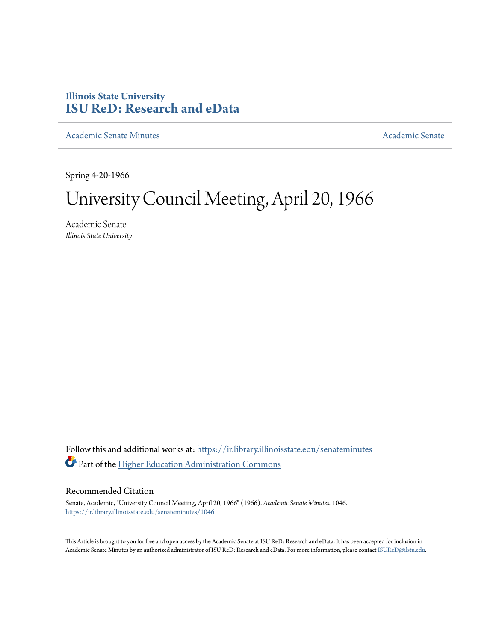## **Illinois State University [ISU ReD: Research and eData](https://ir.library.illinoisstate.edu?utm_source=ir.library.illinoisstate.edu%2Fsenateminutes%2F1046&utm_medium=PDF&utm_campaign=PDFCoverPages)**

[Academic Senate Minutes](https://ir.library.illinoisstate.edu/senateminutes?utm_source=ir.library.illinoisstate.edu%2Fsenateminutes%2F1046&utm_medium=PDF&utm_campaign=PDFCoverPages) [Academic Senate](https://ir.library.illinoisstate.edu/senate?utm_source=ir.library.illinoisstate.edu%2Fsenateminutes%2F1046&utm_medium=PDF&utm_campaign=PDFCoverPages) Academic Senate

Spring 4-20-1966

# University Council Meeting, April 20, 1966

Academic Senate *Illinois State University*

Follow this and additional works at: [https://ir.library.illinoisstate.edu/senateminutes](https://ir.library.illinoisstate.edu/senateminutes?utm_source=ir.library.illinoisstate.edu%2Fsenateminutes%2F1046&utm_medium=PDF&utm_campaign=PDFCoverPages) Part of the [Higher Education Administration Commons](http://network.bepress.com/hgg/discipline/791?utm_source=ir.library.illinoisstate.edu%2Fsenateminutes%2F1046&utm_medium=PDF&utm_campaign=PDFCoverPages)

## Recommended Citation

Senate, Academic, "University Council Meeting, April 20, 1966" (1966). *Academic Senate Minutes*. 1046. [https://ir.library.illinoisstate.edu/senateminutes/1046](https://ir.library.illinoisstate.edu/senateminutes/1046?utm_source=ir.library.illinoisstate.edu%2Fsenateminutes%2F1046&utm_medium=PDF&utm_campaign=PDFCoverPages)

This Article is brought to you for free and open access by the Academic Senate at ISU ReD: Research and eData. It has been accepted for inclusion in Academic Senate Minutes by an authorized administrator of ISU ReD: Research and eData. For more information, please contact [ISUReD@ilstu.edu.](mailto:ISUReD@ilstu.edu)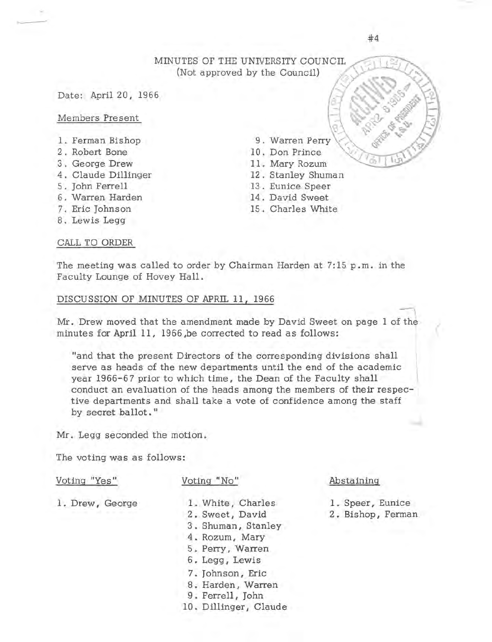## MINUTES OF THE UNIVERSITY COUNCIL (Not approved by the Council)

#### Date: April 20, 1966

Members Pre sent

..\_\_\_\_,

- 1. Ferman Bishop
- 2 Robert Bone
- 3 George Drew
- 4. Claude Dillinger
- 5. John Ferrell
- 6 Warren Harden
- 7. Eric Johnson
- 8. Lewis Legg

## CALL TO ORDER

- 9. Warren Perry
- 10 . Don Prince
	- 11 . Mary Rozum
	- 12. Stanley Shuman
	- 13 Eunice Speer
	- 14. David Sweet
	- 15. Charles White

The meeting was called to order by Chairman Harden at 7:15 p.m. in the Faculty Lounge of Hovey Hall.

## DISCUSSION OF MINUTES OF APRIL 11, 1966

Mr. Drew moved that the amendment made by David Sweet on page 1 of t minutes for April 11, 1966 ,be corrected to read as follows:  $\mathbb{Z}$ 

"and that the present Directors of the corresponding divisions shall serve as heads of the new departments until the end of the academic year 1966-67 prior to which time, the Dean of the Faculty shall conduct an evaluation of the heads among the members of their respective departments and shall take a vote of confidence among the staff by secret ballot. "

Mr. Legg seconded the motion .

The voting was as follows:

#### Voting "Yes"

#### Voting "No"

1. Drew, George

- 1. White, Charles
- 2 . Sweet, David
- 3 . Shuman, Stanley
- 4. Rozum, Mary
	- 5 . Perry, Warren
	- 6. Legg, Lewis
	- 7. Johnson, Eric
	- 8. Harden, Warren
	- 9. Ferrell, John
- 10. Dillinger, Claude

## Abstaining

1. Speer, Eunice 2 . Bishop, Ferman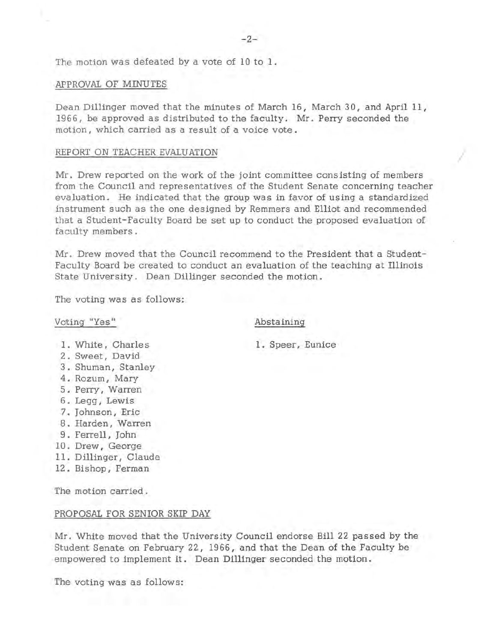The motion was defeated by a vote of 10 to 1.

#### APPROVAL OF MINUTES

Dean Dillinger moved that the minutes of March 16, March 30, and April 11, 1966, be approved as distributed to the faculty. Mr. Perry seconded the motion, which carried as a result of a voice vote.

#### REPORT ON TEACHER EVALUATION

Mr. Drew reported on the work of the joint committee consisting of members from the Council and representatives of the Student Senate concerning teacher evaluation. He indicated that the group was in favor of using a standardized instrument such as the one designed by Remmers and Elliot and recommended that a Student-Faculty Board be set up to conduct the proposed evaluation of faculty members.

Mr. Drew moved that the Council recommend to the President that a Student-Faculty Board be created to conduct an evaluation of the teaching at Illinois State University. Dean Dillinger seconded the motion.

The voting was as follows:

## Voting "Yes"

#### Abstaining

1. Speer, Eunice

*I* 

1. White, Charles

- 2 . Sweet, David
- 3 . Shuman, Stanley
- 4 . Rozum, Mary
- 5. Perry, Warren
- 6. Legg, Lewis
- 7. Johnson, Eric
- 8. Harden, Warren
- 9. Ferrell, John
	- 10 . Drew , George
	- 11. Dillinger, Claude
	- 12. Bishop, Ferman

The motion carried .

#### PROPOSAL FOR SENIOR SKIP DAY

Mr. White moved that the University Council endorse Bill 22 passed by the Student Senate on February 22, 1966, and that the Dean of the Faculty be empowered to implement it. Dean Dillinger seconded the motion.

The voting was as follows: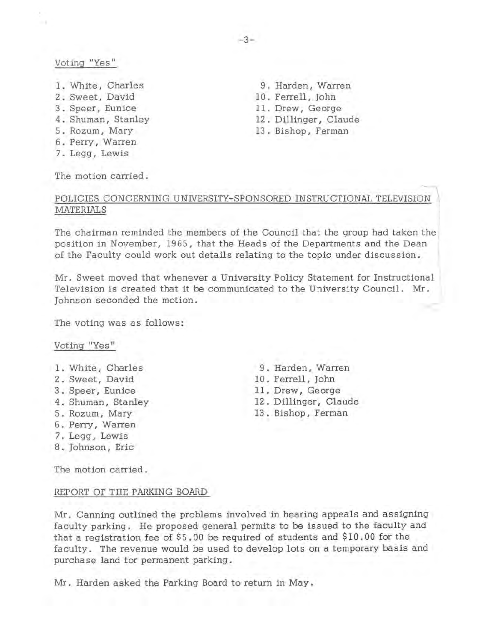## Voting "Yes"

- 1. White, Charles
- 2 . Sweet, David
- 3 . Speer, Eunice
- 4. Shuman, Stanley
- 5 . Rozum , Mary
- 6. Perry, Warren
- 7. Legg, Lewis

The motion carried .

9. Harden, Warren 10. Ferrell, John 11. Drew, George 12. Dillinger, Claude 13. Bishop, Ferman

9 . Harden, Warren 10. Ferrell, John 11. Drew, George 12. Dillinger, Claude 13 . Bishop, Ferman

## POLICIES CONCERNING UNIVERSITY-SPONSORED INSTRUCTIONAL TELEVISION MATERIALS

The chairman reminded the members of the Council that the group had taken the position in November, 1965, that the Heads of the Departments and the Dean of the Faculty could work out details relating to the topic under discussion.

Mr. Sweet moved that whenever a University Policy Statement for Instructional Television is created that it be communicated to the University Council. Mr. Johnson seconded the motion.

The voting was as follows:

#### Voting "Yes"

- 1. White, Charles
- 2 . Sweet, David
- 3 . Speer, Eunice
- 4. Shuman, Stanley
- 5. Rozum, Mary
- 6. Perry, Warren
- 7. Legg, Lewis
- 8. Johnson, Eric

The motion carried.

#### REPORT OF THE PARKING BOARD

Mr. Canning outlined the problems involved in hearing appeals and assigning faculty parking. He proposed general permits to be issued to the faculty and that a registration fee of \$5. 00 be required of students and \$10. 00 for the faculty. The revenue would be used to deve1op lots on a temporary basis and purchase land for permanent parking.

Mr. Harden asked the Parking Board to return in May.

-3-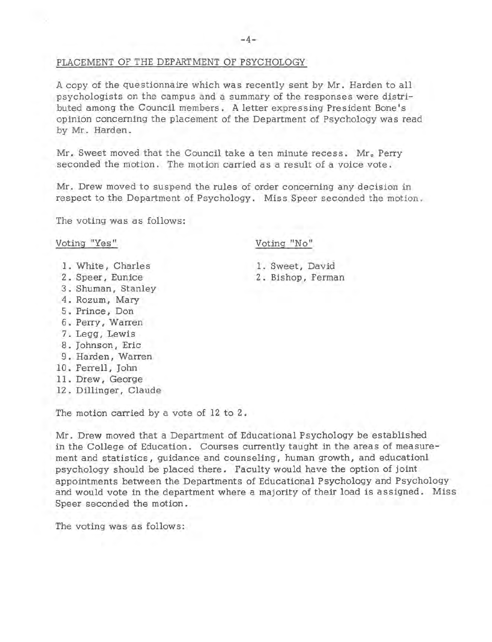## PLACEMENT OF THE DEPARTMENT OF PSYCHOLOGY

A copy of the questionnaire which was recently sent by Mr. Harden to all psychologists on the campus and a summary of the responses were distributed among the Council members. A letter expressing President Bone's opinion concerning the placement of the Department of Psychology was read by Mr. Harden.

Mr. Sweet moved that the Council take a ten minute recess. Mr. Perry seconded the motion. The motion carried as a result of a voice vote.

Mr. Drew moved to suspend the rules of order concerning any decision in respect to the Department of Psychology. Miss Speer seconded the motion.

The voting was as follows:

#### Voting "Yes"

- 1. White, Charles
- 2 . Speer, Eunice
- 3. Shuman, Stanley
- 4. Rozum, Mary
- 5 . Prince , Don
- 6. Perry, Warren
	- 7. Legg, Lewis
	- 8 . Johnson, Eric
	- 9 . Harden, Warren
	- 10. Ferrell, John
	- 11 . Drew, George
	- 12. Dillinger, Claude

The motion carried by a vote of 12 to 2.

Mr. Drew moved that a Department of Educational Psychology be established in the College of Education. Courses currently taught in the areas of measurement and statistics, guidance and counseling, human growth, and education! psychology should be placed there. Faculty would have the option of joint appointments between the Departments of Educational Psychology and Psychology and would vote in the department where a majority of their load is assigned. Miss Speer seconded the motion.

The voting was as follows:

## Voting "No"

1. Sweet, David 2 . Bishop, Ferman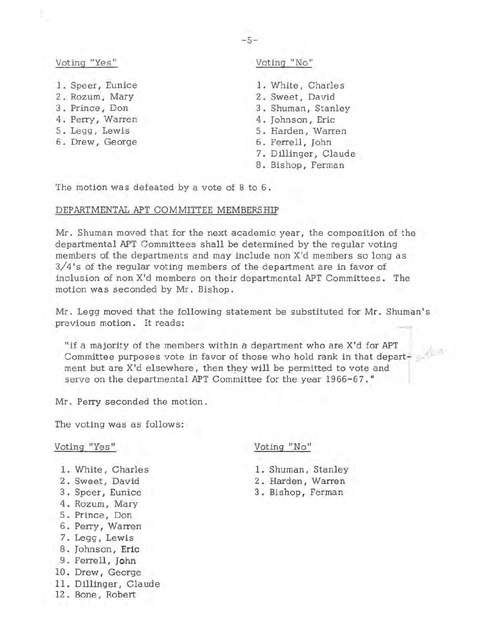## Voting "Yes"

- 1. Speer, Eunice
- 2. Rozum, Mary
- 3 . Prince, Don
- 4. Perry, Warren
- 5. Legg, Lewis
- 6. Drew, George

## Voting "No"

**1.** White, Charles 2 . Sweet, David 3 . Shuman, Stanley 4. Johnson, Eric 5 . Harden, Warren 6. Ferrell, John 7. Dillinger, Claude 8. Bishop, Ferman

The motion was defeated by a vote of 8 to 6.

## DEPARTMENTAL APT COMMITTEE MEMBERSHIP

Mr. Shuman moved that for the next academic year, the composition of the departmental APT Committees shall be determined by the regular voting members of the departments and may include non X'd members so long as 3/ 4 's of the regular voting members of the department are in favor of inclusion of non X'd members on their departmental APT Committees. The motion was seconded by Mr. Bishop.

Mr. Legg moved that the following statement be substituted for Mr. Shuman's previous motion. It reads:

"if a majority of the members within a department who are X'd for APT<br>Committee nurreces with in formula in the Contract of Committee nurreces with in the contract of the Contract o Committee purposes vote in favor of those who hold rank in that depart- *cl·~{)*  ment but are X'd elsewhere, then they will be permitted to vote and serve on the departmental APT Committee for the year 1966-67."

Mr. Perry seconded the motion.

The voting was as follows:

#### Voting "Yes"

- 1. White, Charles
- 2 . Sweet, David
- 3 . Speer, Eunice
- 4 . Rozum, Mary
- 5 . Prince , Don
- 6 . Perry, Warren
- 7. Legg, Lewis
- 8. Johnson, **Eric**
- 9. Ferrell, **John**
- 10. Drew, George
- 11. Dillinger, Claude
- 12. Bone, Robert

## Voting "No"

- 1. Shuman, Stanley
- 2 Harden, Warren
- 3 . Bishop, Ferman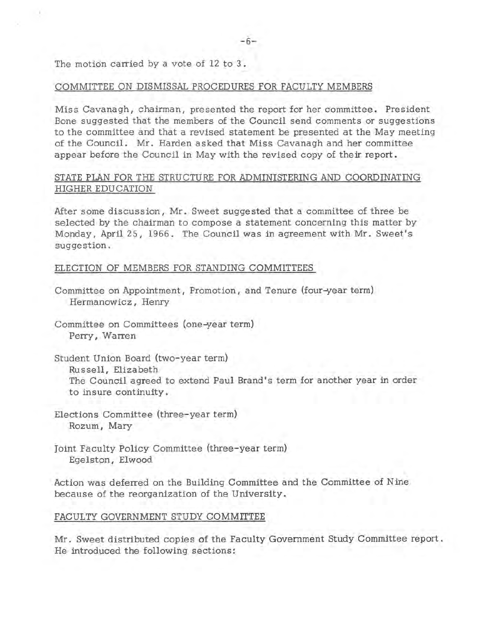The motion carried by a vote of 12 to 3.

## COMMITTEE ON DISMISSAL PROCEDURES FOR FACULTY MEMBERS

Miss Cavanagh, chairman, presented the report for her committee. President Bone suggested that the members of the Council send comments or suggestions to the committee and that a revised statement be presented at the May meeting of the Council. Mr. Harden asked that Miss Cavanagh and her committee appear before the Council in May with the revised copy of their report.

## STATE PLAN FOR THE STRUCTURE FOR ADMINISTERING AND COORDINATING HIGHER EDUCATION

After some discussion, Mr. Sweet suggested that a committee of three be selected by the chairman to compose a statement concerning this matter by Monday, April 25, 1966. The Council was in agreement with Mr. Sweet's suggestion.

## ELECTION OF MEMBERS FOR STANDING COMMITTEES

- Committee on Appointment, Promotion, and Tenure (four-year term) Hermanowicz, Henry
- Committee on Committees (one-year term) Perry, Warren

Student Union Board (two-year term) Russell, Elizabeth The Council agreed to extend Paul Brand's term for another year in order to insure continuity.

Elections Committee (three-year term) Rozum, Mary

Joint Faculty Policy Committee (three-year term) Egelston, Elwood

Action was deferred on the Building Committee and the Committee of Nine because of the reorganization of the University.

#### FACULTY GOVERNMENT STUDY COMMITTEE

Mr. Sweet distributed copies of the Faculty Government Study Committee report. He introduced the following sections: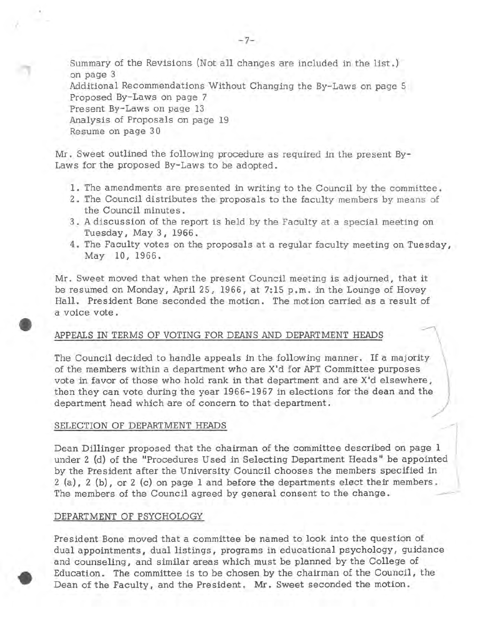Summary of the Revisions (Not all changes are included in the list . } on page 3 Additional Recommendations Without Changing the By-Laws on page 5 Proposed By-Laws on page 7 Present By-Laws on page 13 Analysis of Proposals on page 19 Resume on page 30

Mr. Sweet outlined the following procedure as required in the present By-Laws for the proposed By-Laws to be adopted.

- 1. The amendments are presented in writing to the Council by the committee.
- 2. The Council distributes the proposals to the faculty members by means of the Council minutes.
- 3. A discussion of the report is held by the Faculty at a special meeting on Tuesday, May 3, 1966.
- 4. The Faculty votes on the proposals at a regular faculty meeting on Tuesday, May 10, 1966.

Mr. Sweet moved that when the present Council meeting is adjourned, that it be resumed on Monday, April 25, 1966, at 7: 15 p. m. in the Lounge of Hovey Hall. President Bone seconded the motion. The motion carried as a result of a voice vote.

## APPEALS IN TERMS OF VOTING FOR DEANS AND DEPARTMENT HEADS \

The Council dee ided to handle appeals in the following manner. If a majority of the members within a department who are X'd for APT Committee purposes vote in favor of those who hold rank in that department and are X'd elsewhere, then they can vote during the year 1966-1967 in elections for the dean and the department head which are of concern to that department.

## SELECTION OF DEPARTMENT HEADS

.. ,•

Dean Dillinger proposed that the chairman of the committee described on page 1 under 2 (d} of the "Procedures Used in Selecting Department Heads" be appointed by the President after the University Council chooses the members specified in  $2$  (a),  $2$  (b), or  $2$  (c) on page 1 and before the departments elect their members. The members of the Council agreed by general consent to the change.

## DEPARTMENT OF PSYCHOLOGY

President Bone moved that a committee be named to look into the question of dual appointments, dual listings, programs in educational psychology, guidance and counseling, and similar areas which must be planned by the College of Education. The committee is to be chosen by the chairman of the Council, the Dean of the Faculty, and the President. Mr. Sweet seconded the motion.